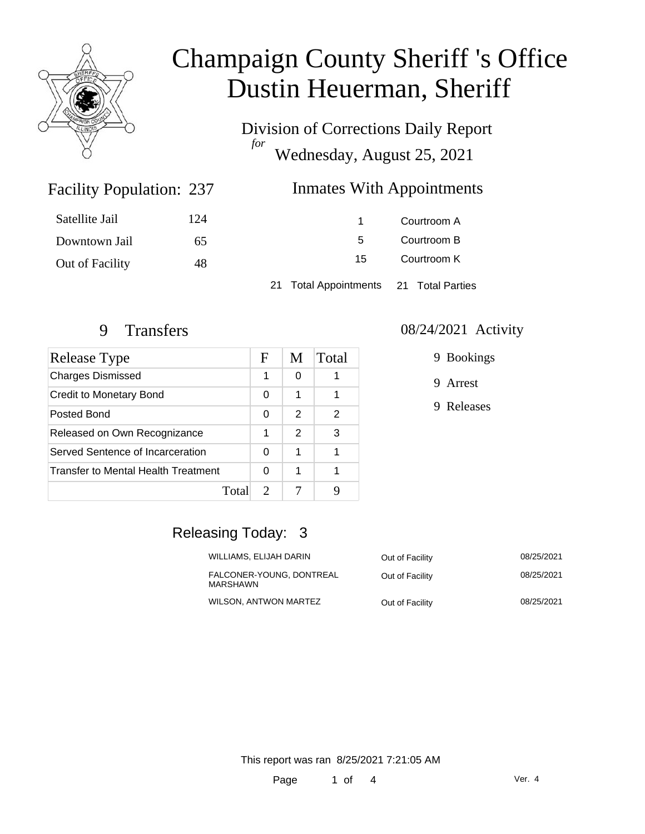

Division of Corrections Daily Report *for* Wednesday, August 25, 2021

### **Inmates With Appointments**

| Satellite Jail  | 124 | 1                                      | Courtroom A |
|-----------------|-----|----------------------------------------|-------------|
| Downtown Jail   | 65  | 5.                                     | Courtroom B |
| Out of Facility | 48  | 15                                     | Courtroom K |
|                 |     | 21 Total Appointments 21 Total Parties |             |

Facility Population: 237

| <b>Release Type</b>                 | F                           | M | Total |
|-------------------------------------|-----------------------------|---|-------|
| <b>Charges Dismissed</b>            | 1                           | 0 |       |
| Credit to Monetary Bond             | 0                           | 1 |       |
| Posted Bond                         | 0                           | 2 | 2     |
| Released on Own Recognizance        | 1                           | 2 | 3     |
| Served Sentence of Incarceration    | 0                           | 1 |       |
| Transfer to Mental Health Treatment | O                           |   |       |
| Total                               | $\mathcal{D}_{\mathcal{L}}$ |   |       |

#### 9 Transfers 08/24/2021 Activity

9 Bookings

9 Arrest

9 Releases

### Releasing Today: 3

| WILLIAMS, ELIJAH DARIN               | Out of Facility | 08/25/2021 |
|--------------------------------------|-----------------|------------|
| FALCONER-YOUNG. DONTREAL<br>MARSHAWN | Out of Facility | 08/25/2021 |
| WILSON. ANTWON MARTEZ                | Out of Facility | 08/25/2021 |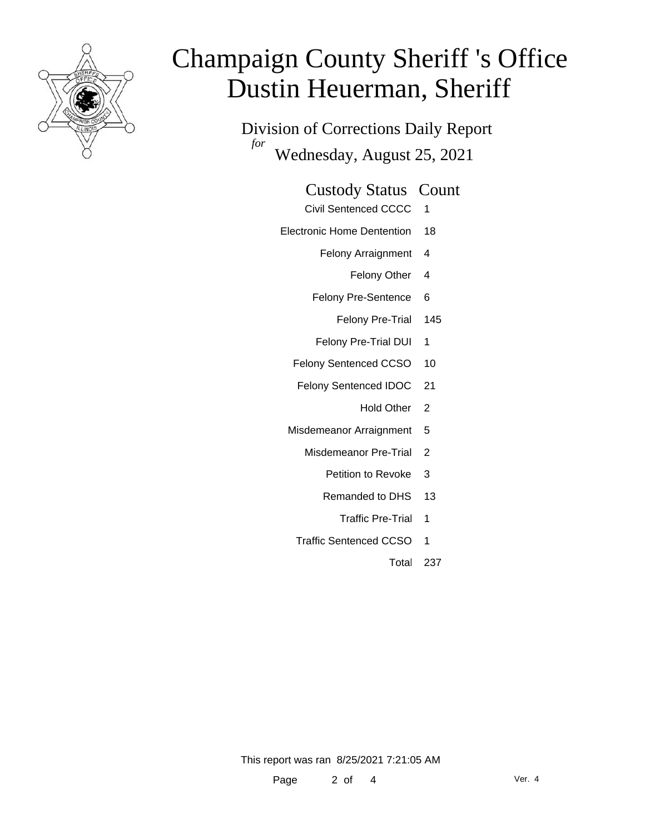

Division of Corrections Daily Report *for* Wednesday, August 25, 2021

#### Custody Status Count

- Civil Sentenced CCCC 1
- Electronic Home Dentention 18
	- Felony Arraignment 4
		- Felony Other 4
	- Felony Pre-Sentence 6
		- Felony Pre-Trial 145
	- Felony Pre-Trial DUI 1
	- Felony Sentenced CCSO 10
	- Felony Sentenced IDOC 21
		- Hold Other 2
	- Misdemeanor Arraignment 5
		- Misdemeanor Pre-Trial 2
			- Petition to Revoke 3
			- Remanded to DHS 13
				- Traffic Pre-Trial 1
		- Traffic Sentenced CCSO 1
			- Total 237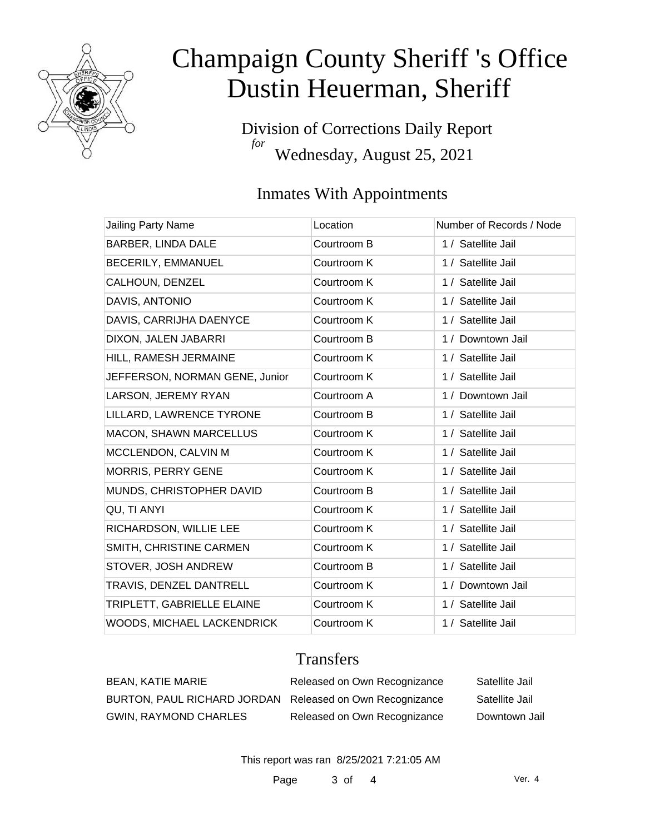

Division of Corrections Daily Report *for* Wednesday, August 25, 2021

## Inmates With Appointments

| <b>Jailing Party Name</b>      | Location    | Number of Records / Node |
|--------------------------------|-------------|--------------------------|
| BARBER, LINDA DALE             | Courtroom B | 1 / Satellite Jail       |
| BECERILY, EMMANUEL             | Courtroom K | 1 / Satellite Jail       |
| CALHOUN, DENZEL                | Courtroom K | 1 / Satellite Jail       |
| DAVIS, ANTONIO                 | Courtroom K | 1 / Satellite Jail       |
| DAVIS, CARRIJHA DAENYCE        | Courtroom K | 1 / Satellite Jail       |
| DIXON, JALEN JABARRI           | Courtroom B | 1 / Downtown Jail        |
| HILL, RAMESH JERMAINE          | Courtroom K | 1 / Satellite Jail       |
| JEFFERSON, NORMAN GENE, Junior | Courtroom K | 1 / Satellite Jail       |
| LARSON, JEREMY RYAN            | Courtroom A | 1 / Downtown Jail        |
| LILLARD, LAWRENCE TYRONE       | Courtroom B | 1 / Satellite Jail       |
| <b>MACON, SHAWN MARCELLUS</b>  | Courtroom K | 1 / Satellite Jail       |
| MCCLENDON, CALVIN M            | Courtroom K | 1 / Satellite Jail       |
| <b>MORRIS, PERRY GENE</b>      | Courtroom K | 1 / Satellite Jail       |
| MUNDS, CHRISTOPHER DAVID       | Courtroom B | 1 / Satellite Jail       |
| QU, TI ANYI                    | Courtroom K | 1 / Satellite Jail       |
| RICHARDSON, WILLIE LEE         | Courtroom K | 1 / Satellite Jail       |
| SMITH, CHRISTINE CARMEN        | Courtroom K | 1 / Satellite Jail       |
| STOVER, JOSH ANDREW            | Courtroom B | 1 / Satellite Jail       |
| TRAVIS, DENZEL DANTRELL        | Courtroom K | 1 / Downtown Jail        |
| TRIPLETT, GABRIELLE ELAINE     | Courtroom K | 1 / Satellite Jail       |
| WOODS, MICHAEL LACKENDRICK     | Courtroom K | 1 / Satellite Jail       |

### **Transfers**

| BEAN, KATIE MARIE                                        | Released on Own Recognizance | Satellite Jail |
|----------------------------------------------------------|------------------------------|----------------|
| BURTON, PAUL RICHARD JORDAN Released on Own Recognizance |                              | Satellite Jail |
| <b>GWIN, RAYMOND CHARLES</b>                             | Released on Own Recognizance | Downtown Jail  |